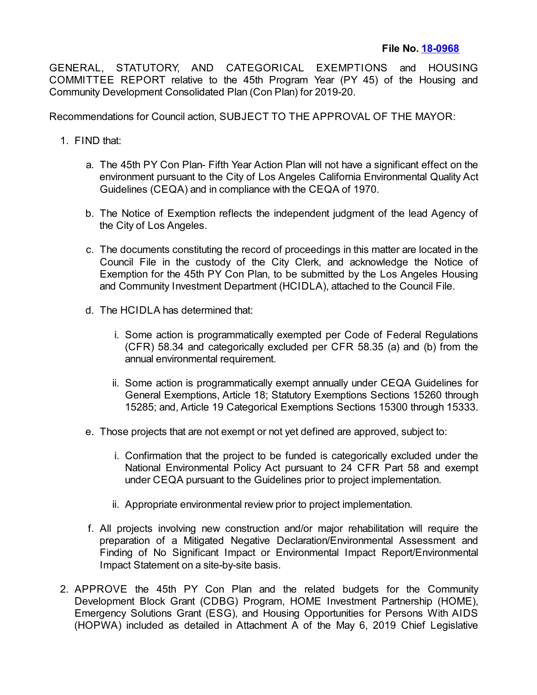GENERAL, STATUTORY, AND CATEGORICAL EXEMPTIONS and HOUSING COMMITTEE REPORT relative to the 45th Program Year (PY 45) of the Housing and Community Development Consolidated Plan (Con Plan) for 2019-20.

Recommendations for Council action, SUBJECT TO THE APPROVAL OF THE MAYOR:

- 1. FIND that:
	- a. The 45th PY Con Plan- Fifth Year Action Plan will not have a significant effect on the environment pursuant to the City of Los Angeles California Environmental Quality Act Guidelines (CEQA) and in compliance with the CEQA of 1970.
	- b. The Notice of Exemption reflects the independent judgment of the lead Agency of the City of Los Angeles.
	- c. The documents constituting the record of proceedings in this matter are located in the Council File in the custody of the City Clerk, and acknowledge the Notice of Exemption for the 45th PY Con Plan, to be submitted by the Los Angeles Housing and Community Investment Department (HCIDLA), attached to the Council File.
	- d. The HCIDLA has determined that:
		- i. Some action is programmatically exempted per Code of Federal Regulations (CFR) 58.34 and categorically excluded per CFR 58.35 (a) and (b) from the annual environmental requirement.
		- ii. Some action is programmatically exempt annually under CEQA Guidelines for General Exemptions, Article 18; Statutory Exemptions Sections 15260 through 15285; and, Article 19 Categorical Exemptions Sections 15300 through 15333.
	- e. Those projects that are not exempt or not yet defined are approved, subject to:
		- i. Confirmation that the project to be funded is categorically excluded under the National Environmental Policy Act pursuant to 24 CFR Part 58 and exempt under CEQA pursuant to the Guidelines prior to project implementation.
		- ii. Appropriate environmental review prior to project implementation.
	- f. All projects involving new construction and/or major rehabilitation will require the preparation of a Mitigated Negative Declaration/Environmental Assessment and Finding of No Significant Impact or Environmental Impact Report/Environmental Impact Statement on a site-by-site basis.
- 2. APPROVE the 45th PY Con Plan and the related budgets for the Community Development Block Grant (CDBG) Program, HOME Investment Partnership (HOME), Emergency Solutions Grant (ESG), and Housing Opportunities for Persons With AIDS (HOPWA) included as detailed in Attachment A of the May 6, 2019 Chief Legislative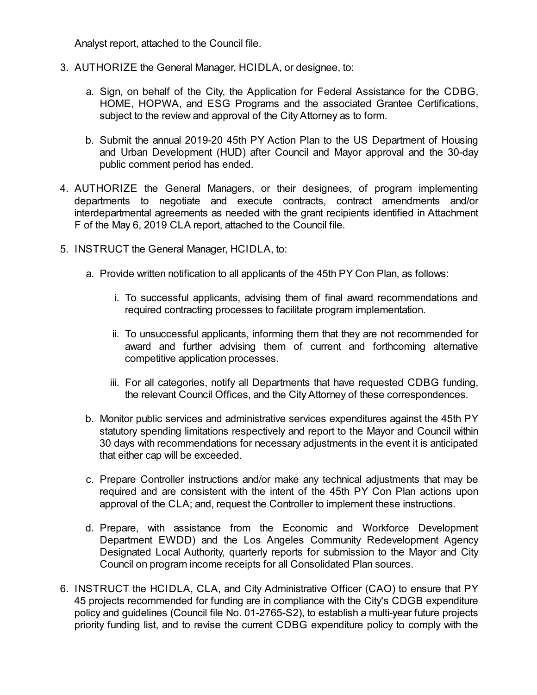Analyst report, attached to the Council file.

- 3. AUTHORIZE the General Manager, HCIDLA, or designee, to:
	- a. Sign, on behalf of the City, the Application for Federal Assistance for the CDBG, HOME, HOPWA, and ESG Programs and the associated Grantee Certifications, subject to the review and approval of the City Attorney as to form.
	- b. Submit the annual 2019-20 45th PY Action Plan to the US Department of Housing and Urban Development (HUD) after Council and Mayor approval and the 30-day public comment period has ended.
- 4. AUTHORIZE the General Managers, or their designees, of program implementing departments to negotiate and execute contracts, contract amendments and/or interdepartmental agreements as needed with the grant recipients identified in Attachment F of the May 6, 2019 CLA report, attached to the Council file.
- 5. INSTRUCT the General Manager, HCIDLA, to:
	- a. Provide written notification to all applicants of the 45th PY Con Plan, as follows:
		- i. To successful applicants, advising them of final award recommendations and required contracting processes to facilitate program implementation.
		- ii. To unsuccessful applicants, informing them that they are not recommended for award and further advising them of current and forthcoming alternative competitive application processes.
		- iii. For all categories, notify all Departments that have requested CDBG funding, the relevant Council Offices, and the City Attorney of these correspondences.
	- b. Monitor public services and administrative services expenditures against the 45th PY statutory spending limitations respectively and report to the Mayor and Council within 30 days with recommendations for necessary adjustments in the event it is anticipated that either cap will be exceeded.
	- c. Prepare Controller instructions and/or make any technical adjustments that may be required and are consistent with the intent of the 45th PY Con Plan actions upon approval of the CLA; and, request the Controller to implement these instructions.
	- d. Prepare, with assistance from the Economic and Workforce Development Department EWDD) and the Los Angeles Community Redevelopment Agency Designated Local Authority, quarterly reports for submission to the Mayor and City Council on program income receipts for all Consolidated Plan sources.
- 6. INSTRUCT the HCIDLA, CLA, and City Administrative Officer (CAO) to ensure that PY 45 projects recommended for funding are in compliance with the City's CDGB expenditure policy and guidelines (Council file No. 01-2765-S2), to establish a multi-year future projects priority funding list, and to revise the current CDBG expenditure policy to comply with the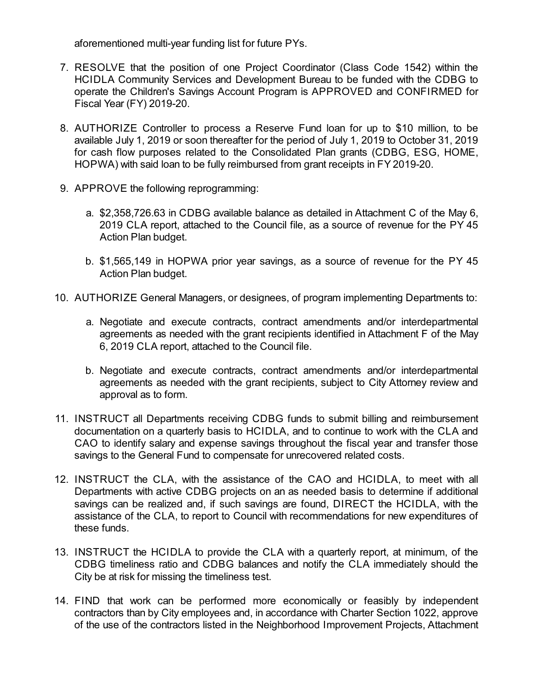aforementioned multi-year funding list for future PYs.

- 7. RESOLVE that the position of one Project Coordinator (Class Code 1542) within the HCIDLA Community Services and Development Bureau to be funded with the CDBG to operate the Children's Savings Account Program is APPROVED and CONFIRMED for Fiscal Year (FY) 2019-20.
- 8. AUTHORIZE Controller to process a Reserve Fund loan for up to \$10 million, to be available July 1, 2019 or soon thereafter for the period of July 1, 2019 to October 31, 2019 for cash flow purposes related to the Consolidated Plan grants (CDBG, ESG, HOME, HOPWA) with said loan to be fully reimbursed from grant receipts in FY 2019-20.
- 9. APPROVE the following reprogramming:
	- a. \$2,358,726.63 in CDBG available balance as detailed in Attachment C of the May 6, 2019 CLA report, attached to the Council file, as a source of revenue for the PY 45 Action Plan budget.
	- b. \$1,565,149 in HOPWA prior year savings, as a source of revenue for the PY 45 Action Plan budget.
- 10. AUTHORIZE General Managers, or designees, of program implementing Departments to:
	- a. Negotiate and execute contracts, contract amendments and/or interdepartmental agreements as needed with the grant recipients identified in Attachment F of the May 6, 2019 CLA report, attached to the Council file.
	- b. Negotiate and execute contracts, contract amendments and/or interdepartmental agreements as needed with the grant recipients, subject to City Attorney review and approval as to form.
- 11. INSTRUCT all Departments receiving CDBG funds to submit billing and reimbursement documentation on a quarterly basis to HCIDLA, and to continue to work with the CLA and CAO to identify salary and expense savings throughout the fiscal year and transfer those savings to the General Fund to compensate for unrecovered related costs.
- 12. INSTRUCT the CLA, with the assistance of the CAO and HCIDLA, to meet with all Departments with active CDBG projects on an as needed basis to determine if additional savings can be realized and, if such savings are found, DIRECT the HCIDLA, with the assistance of the CLA, to report to Council with recommendations for new expenditures of these funds.
- 13. INSTRUCT the HCIDLA to provide the CLA with a quarterly report, at minimum, of the CDBG timeliness ratio and CDBG balances and notify the CLA immediately should the City be at risk for missing the timeliness test.
- 14. FIND that work can be performed more economically or feasibly by independent contractors than by City employees and, in accordance with Charter Section 1022, approve of the use of the contractors listed in the Neighborhood Improvement Projects, Attachment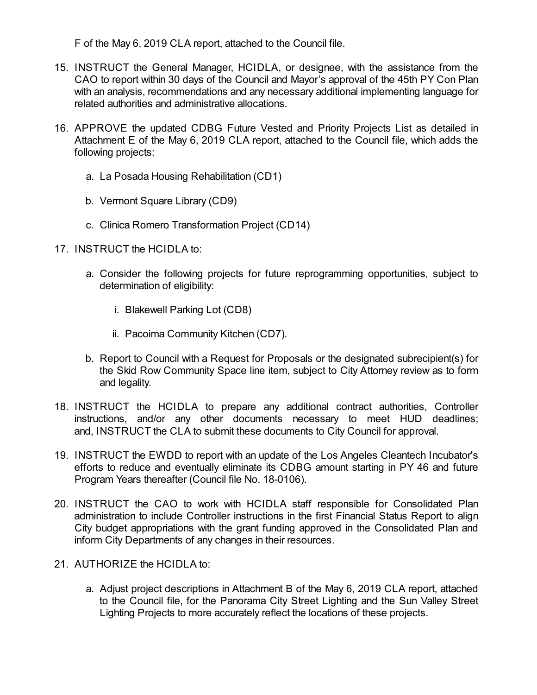F of the May 6, 2019 CLA report, attached to the Council file.

- 15. INSTRUCT the General Manager, HCIDLA, or designee, with the assistance from the CAO to report within 30 days of the Council and Mayor's approval of the 45th PY Con Plan with an analysis, recommendations and any necessary additional implementing language for related authorities and administrative allocations.
- 16. APPROVE the updated CDBG Future Vested and Priority Projects List as detailed in Attachment E of the May 6, 2019 CLA report, attached to the Council file, which adds the following projects:
	- a. La Posada Housing Rehabilitation (CD1)
	- b. Vermont Square Library (CD9)
	- c. Clinica Romero Transformation Project (CD14)
- 17. INSTRUCT the HCIDLA to:
	- a. Consider the following projects for future reprogramming opportunities, subject to determination of eligibility:
		- i. Blakewell Parking Lot (CD8)
		- ii. Pacoima Community Kitchen (CD7).
	- b. Report to Council with a Request for Proposals or the designated subrecipient(s) for the Skid Row Community Space line item, subject to City Attorney review as to form and legality.
- 18. INSTRUCT the HCIDLA to prepare any additional contract authorities, Controller instructions, and/or any other documents necessary to meet HUD deadlines; and, INSTRUCT the CLA to submit these documents to City Council for approval.
- 19. INSTRUCT the EWDD to report with an update of the Los Angeles Cleantech Incubator's efforts to reduce and eventually eliminate its CDBG amount starting in PY 46 and future Program Years thereafter (Council file No. 18-0106).
- 20. INSTRUCT the CAO to work with HCIDLA staff responsible for Consolidated Plan administration to include Controller instructions in the first Financial Status Report to align City budget appropriations with the grant funding approved in the Consolidated Plan and inform City Departments of any changes in their resources.
- 21. AUTHORIZE the HCIDLA to:
	- a. Adjust project descriptions in Attachment B of the May 6, 2019 CLA report, attached to the Council file, for the Panorama City Street Lighting and the Sun Valley Street Lighting Projects to more accurately reflect the locations of these projects.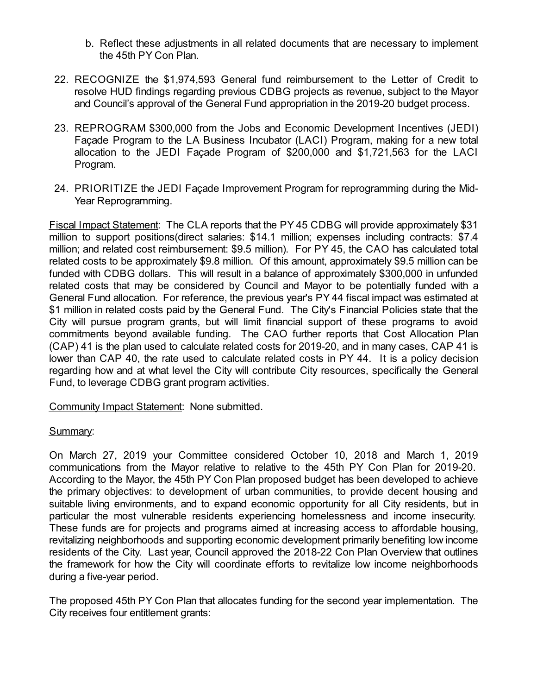- b. Reflect these adjustments in all related documents that are necessary to implement the 45th PY Con Plan.
- 22. RECOGNIZE the \$1,974,593 General fund reimbursement to the Letter of Credit to resolve HUD findings regarding previous CDBG projects as revenue, subject to the Mayor and Council's approval of the General Fund appropriation in the 2019-20 budget process.
- 23. REPROGRAM \$300,000 from the Jobs and Economic Development Incentives (JEDI) Façade Program to the LA Business Incubator (LACI) Program, making for a new total allocation to the JEDI Façade Program of \$200,000 and \$1,721,563 for the LACI Program.
- 24. PRIORITIZE the JEDI Façade Improvement Program for reprogramming during the Mid-Year Reprogramming.

Fiscal Impact Statement: The CLA reports that the PY 45 CDBG will provide approximately \$31 million to support positions(direct salaries: \$14.1 million; expenses including contracts: \$7.4 million; and related cost reimbursement: \$9.5 million). For PY 45, the CAO has calculated total related costs to be approximately \$9.8 million. Of this amount, approximately \$9.5 million can be funded with CDBG dollars. This will result in a balance of approximately \$300,000 in unfunded related costs that may be considered by Council and Mayor to be potentially funded with a General Fund allocation. For reference, the previous year's PY 44 fiscal impact was estimated at \$1 million in related costs paid by the General Fund. The City's Financial Policies state that the City will pursue program grants, but will limit financial support of these programs to avoid commitments beyond available funding. The CAO further reports that Cost Allocation Plan (CAP) 41 is the plan used to calculate related costs for 2019-20, and in many cases, CAP 41 is lower than CAP 40, the rate used to calculate related costs in PY 44. It is a policy decision regarding how and at what level the City will contribute City resources, specifically the General Fund, to leverage CDBG grant program activities.

Community Impact Statement: None submitted.

## Summary:

On March 27, 2019 your Committee considered October 10, 2018 and March 1, 2019 communications from the Mayor relative to relative to the 45th PY Con Plan for 2019-20. According to the Mayor, the 45th PY Con Plan proposed budget has been developed to achieve the primary objectives: to development of urban communities, to provide decent housing and suitable living environments, and to expand economic opportunity for all City residents, but in particular the most vulnerable residents experiencing homelessness and income insecurity. These funds are for projects and programs aimed at increasing access to affordable housing, revitalizing neighborhoods and supporting economic development primarily benefiting low income residents of the City. Last year, Council approved the 2018-22 Con Plan Overview that outlines the framework for how the City will coordinate efforts to revitalize low income neighborhoods during a five-year period.

The proposed 45th PY Con Plan that allocates funding for the second year implementation. The City receives four entitlement grants: